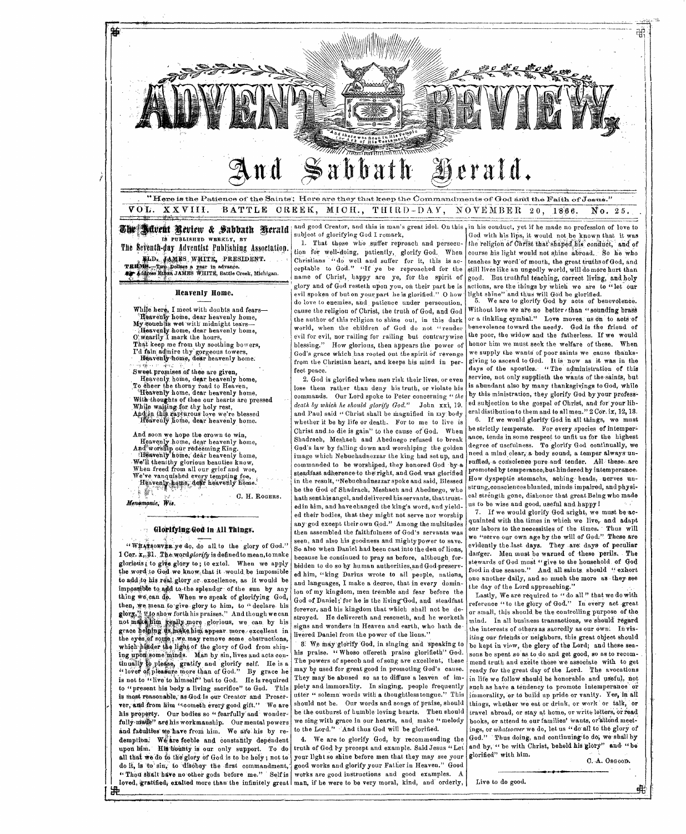

we'll then thy glorious beauties know,<br>When freed from all our grief and woe,<br>We've vanquished every tempting foe,<br>we've vanquished every tempting foe, **藤** G. H. ROGERS.

Menomonie, Wis.

#### Glorifying God in All Things.

"WHATSORVER ye do, do all to the glory of God." 1 Cor. x, 31. The word glorify is defined to mean, to make glorious, to give glory to; to extol. When we apply the word to God we know that it would be impossible to add to his real glory or excellence, as it would be impossible to add to the splendor of the sun by any thing we can do. When we speak of glorifying God, then, we mean to give glory to him, to "declare his glory," "to show forth his praises." And though we can not make thin we hally more glorious, we can by his grace beining as make him appear more excellent in the eyes of some ; we may remove some obstructions, which pinder the light of the glory of God from shining upon some minds. Man by sin, lives and acts continually to please, gratify and glorify self. He is a<br>"lover of pleasure more than of God." By grace he is not to "live to himself" but to God. He is required to "present his body a living sacrifice" to God. This is most reasonable, as God is our Creator and Preserver, and from him "coometh every good gift." We are his property. Our bodies so "fearfully and wonderfully made" are his workmanship. Our mental powers and faculties we have from him. We are his by redemption. We are feeble and constantly dependent upon lim. His bounty is our only support. To do all that we do to the glory of God is to be holy; not to do it, is to sin, to disobey the first commandment, "Thou shalt have no other gods before me." Self is

踕

steadfast adherence to the right, and God was glorified in the result, "Nebuchadnezzar spoke and said, Blessed be the God of Shadrach, Meshach and Abednego, who hath senthis angel, and delivered his servants, that trustedin him, and have changed the king's word, and yielded their bodies, that they might not serve nor worship any god except their own God." Among the multitudes then assembled the faithfulness of God's servants was seen. and also his goodness and mighty power to save. So also when Daniel had been cast into the den of lions. because he continued to pray as before, although forbidden to do so by human authorities, and God-preserved him, "king Darius wrote to all people, nations, and languages, I make a decree, that in every dominion of my kingdom, men tremble and fear before the God of Daniel; for he is the living God, and steadfast forever, and his kingdom that which shall not be destroved. He delivereth and rescueth, and he worketh signs and wonders in Heaven and earth, who hath delivered Daniel from the power of the lions.'

8. We may glorify God, in singing and speaking to his praise. "Whoso offereth praise glorifieth" God. The powers of speech and of song are excellent, these may be used for great good in promoting God's cause. They may be abused so as to diffuse a leaven of impiety and immorality. In singing, people frequently utter " solemn words with a thoughtless tongue." This should not be. Our words and songs of praise, should be the outburst of humble loving hearts. Then should we sing with grace in our hearts, and make "melody to the Lord." And thus God will be glorified.

4. We are to glorify God, by recommending the truth of God by precept and example. Said Jesus "Let your light so shine before men that they may see your good works and glorify your Father in Heaven." Good works are good instructions and good examples. A loved, gratified, exalted more than the infinitely great man, if he were to be very moral, kind, and orderly,

promoted by temperance, but hindered by intemperance. How dyspeptic stomachs, aching heads, nerves unstrung, consciences blunted, minds impaired, and physical strength gone, dishonor that great Being who made us to be wise and good, useful and happy!

7. If we would glorify God aright, we must be acquainted with the times in which we live, and adapt our labors to the necessities of the times. Thus will we "serve our own age by the will of God." These are evidently the last days. They are days of peculiar danger. Men must be warned of these perils. The stewards of God must "give to the household of God food in due season." And all saints sbould "exhort ne another daily, and so much the more as they see the day of the Lord approaching."

Lastly, We are required to "do all" that we do with eference "to the glory of God." In every act great or small, this should be the controlling purpose of the mind. In all business transactions, we should regard the interests of others as sacredly as our own. In visiting our friends or neighbors, this great object should be kept in view, the glery of the Lord; and these seasons be spent so as to do and get good, so as to recommend truth and excite those we associate with to get ready for the great day of the Lord. The avocations in life we follow should be honorable and useful, not such as have a tendency to promote intemperance or mmorality, or to build up pride or vanity. Yes, in all things, whether we eat or drink, or work or talk, or travel abroad, or stay at home, or write letters, or read books, or attend to our families' wants, or attend meetings, or whatsoever we do, let us "do all to the glory of God." Thus doing, and continuing to do, we shall by and by, " be with Christ, behold his glory" and " be glorified" with him.

C.A. Osgoom.

弔

Live to do good.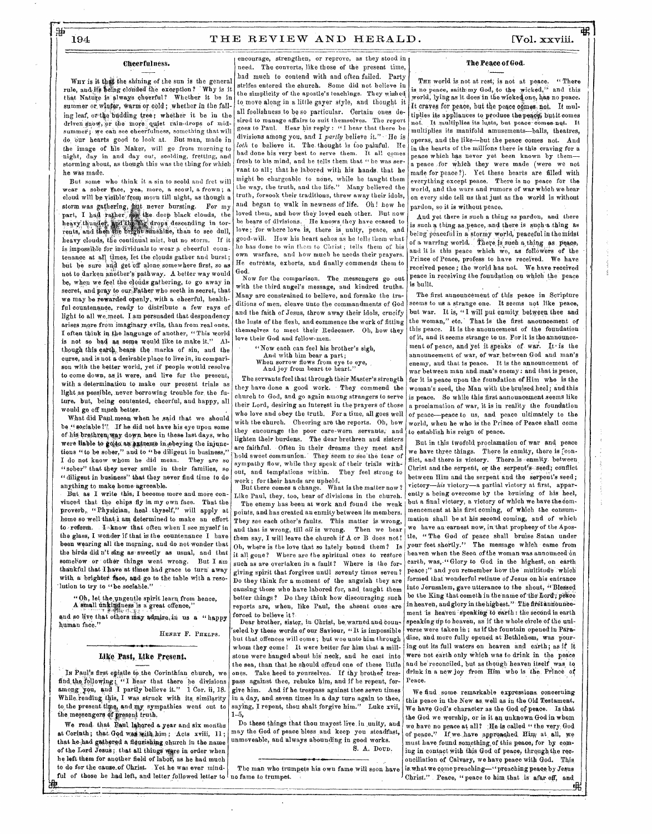#### Cheerfulness.

WHY is it the shining of the sun is the general rule, and ifs being clouded the exception? Why is it that Nature is always cheerful? Whether it be in summer or winter, warm or cold; whether in the falling leaf, ortho budding tree; whether it be in the driven show, or the more quiet rain-drops of midsummer; we can see cheerfulness, something that will do.our hearts good to look at. But man, made in the image of his Maker, will go from morning to -night, day in and day out, scolding, fretting, and storming about, as though this was the thing for which he was made.

But some who think it a sin to scold and fret will wear a sober face, yea, more, a scowl, a frown; a cloud will be visible from morn till night, as though a storm was gathering, hut never bursting. For my part, I had rather see the deep black clouds, the heavythunder, and the sig drops descending in torrents,' and then the 'bright sunshine, than to see dull, heavy clouds, the continual mist, but no storm. If it is impossible for individuals to wear p cheerful countenance at all times, let the clouds gather and burst; but be sure and get off alone somewhere first, so as not to darken another's pathway.. A better way would be, when we feel the clouds gathering, to go away in secret, and pray to our Father who seeth in secret, that we may be rewarded openly, with a cheerful, healthful countenance, ready to distribute a few rays of light to all we meet. I am persuaded that despondency arises more from imaginary evils, than from real ones. I often think in the language of another, " This world is not so bad as some would like to make it." Although this earth, bears the marks of sin, and the curse, and is not a desirable place to live in, in comparison with the better world, yet if people would resolve to come down, as,it were, and live for the present, with a determination to make our present trials as light as possible, never borrowing trouble for. the future, but, being contented, cheerful, and happy, all would go off much better.

What did Paul mean when he said that we should be "sociable?". If he did not have his eye upon some of his brethren way down here in these last days, who were liable to goito an extreme in obeying the injunctions "to be sober," and to "be diligent in business,' I do not know whom he did mean. They are so "sober" that they never smile in their families, so "diligent in business" that they never find time to do anything to make home agreeable.

But as I write this, I become more and more convinced that the chips fly in my own face. That the proverb, "Physician, heal thyself," will apply at home so well that i am determined to make an effort to reform.  $\mathbf{I} \circ \mathbf{known}$  that often when I see myself in the glass, I wonder if that is the countenance I have been wearing all the morning, and do not wonder that the birds did n't sing as sweetly as usual, and that somehow or other things went wrong. But I am thankful that I have at times had grace to turn' away with a brighter face, and go to the table with a resolution to try to "be sociable."

" Oh, let the ungentle spirit learn from hence, A small unkindness is a great offence,'

and so live that others may admire in us a "happy human face.'

HENRY F. PRELpS.

#### Like Past, Like Present.

In Paul's first epistle to the Corinthian church, we find the following: "I hear that there be divisions among yon, and I partly believe it." 1 Cor. ii, 18. While reading this, I was struck with its similarity to the present time, and my sympathies went out to the messengers of present truth,

We read that Paul labored a year and six months at Corinth; that God was with him; Acts xviii, 11; that he had gathered a fleurishing church in the name of the Lord Jesus; that all things were in order when he left them for another field of labor, as he had much to do for the cause of Christ. Yet he was ever mindful of those he had left, and letter followed letter to no fame to trumpet.

encourage, strengthen, or reprove, as they stood in need. The converts, like those of the present time, had much to contend with and often failed. Party strifes entered the church. Some did not believe in the simplicity of the apostle's teachings. They wished to move along in a little gayer style, and thought it all foolishness to be so particular. Certain- ones desired to manage affairs to suit themselves. The report goes to Paul. Hear his reply : "I hear that there be divisions among you, and I *partly* believe it." He is *loth* to believe it. The thought is too painful. He had done his very best to serve them. It all comes fresh to his mind, and he tells them that "he was servant to all; that he labored with his hands that he might be chargeable to none, while he taught them the way, the truth, and the life." Many believed the truth, forsook their traditions, threw away their idols, and began to walk in newness of life. Oh! how he loved them, and how they loved each other. But now he hears of divisions. He knows they have ceased to love; for where love is, there is unity, peace, and good-will. How his heart aches as he tells them what he has done to win them to Christ ; tells them of his own warfare, and how much he needs their prayers. He entreats, exhorts, and finally commends them to God.

Now for the comparison. The, messengers go out with the third angel's message, and kindred truths. Many are constrained to believe, and forsake the traditions of men, cleave unto the commandments of God and the faith of Jesus, throw away their idols, crucify the lusts of the flesh, and commence the work of fitting themselves to meet their Redeemer. Oh, how they love their God and fellow-men.

"Now each can feel his brother's sigh, And with him bear a part; When sorrow flows from eye to eye, And joy from heart to heart."

The servants feel that through their Master's strength they have done a good work. They commend the church to God, and go again among strangers to serve their Lord, desiring an interest in the prayers of those who love and obey the truth. For a time, all goes well with the church. Cheering are the reports. Oh, how they encourage the poor care-worn servants, and lighten their burdens. The dear brethren and sisters are faithful. Often in their dreams they meet and hold sweet communion. They seem to see the tear of sympathy flow, while they speak of their trials without, and temptations within. They feel strong to

work ; for their hands are upheld. But there comes a change. What is the matter now ? Like Paul, they, too, hear of divisions in the church.

The enemy has been at work and found the weak points, and has created an enmity between its members. They see each other's faults. This matter is wrong, and that is wrong, till *all* is wrong. Then we hear them say, I will leave the church if A or B does not! Oh, where is the love that so lately bound them? Is it all gone? Where are the spiritual ones to restore such as are overtaken in a fault? Where is the forgiving spirit that forgives until seventy times seven? Do they think for a moment of the anguish they are causing those who have labored for, and, taught them better things? Do they think how discouraging such reports are, when, like Paul, the absent ones are forced to believe it?

Dear brother, sister, in Christ, be warned and counseled by these words of our Saviour, "It is impossible but that offences will come ; but woe unto him through whom they come ! It were better for him that a millstone were hanged about his neck, and he cast into the sea, than that he should offend one of these little ones. Take heed to yourselves. If thy brother trespass against thee, rebuke him, and if he repent, forgive him, And if he trespass against thee seven times in a day, and seven times in a day turn again to thee, saying, I repent, thou shalt forgive him." 1-5,

Do these things that thou mayest live in unity, and may the God of peace bless and keep you steadfast, unmoveable, and always abounding in good works. S. A. DOUR.

The man who trumpets his own fame will soon have

### The Peace of God.

42

THE world is not at rest, is not at peace. "There is no peace, saith my God, to the wicked," and this world, lying as it does in the wicked one, has no peace. It craves for peace, but the peace comes not. It multiplies its appliances to produce the peace, butit comes not, It.multiplies, its lusts, but peace-comes not. It multiplies its manifold amusements—balls, theatres, operas, and the like=but the peace comes not. And in the hearts of the millions there is this craving for a peace which has never yet been known by them a peace for which they were made (were we not made for peace ?). Yet these hearts are filled with everything except peace. There is no peace for the world, and the wars and rumors of war which we hear on every side tell us that just as the world is without pardon, so it is without peace,

And yet there is such a thing as pardon, and there is such a thing as peace, and there is such a thing as being peaceful in a stormy world, peaceful in the midst of a warring world. There is such a thing as reace, and it is this peace which we, as followers of the Prince of Peace, profess to have received. We have received peace ; the world has not. We have received peace in receiving the foundation on which the peace is built.

The first announcement of this peace in Scripture seems to us a strange one. It seems not like peace, but war. It is, "I will put enmity, between thee and the woman," etc. That is the first anouncement of this peace. It is the anouncement of the foundation of it, and it seems strange to us. For it is the announcement of peace, and yet it speaks of war. It is the announcement of war, of war, between God and man's enemy, and that is peace. It is the announcement of war between man and man's enemy: and that is peace. for it is peace upon the foundation of Him who is the woman's seed, the Man with the bruised heel; and this is peace. So while this first announcement seems like a proclamation of war, it is in reality the foundation of peace—peace to us, and peace ultimately to the world, when he who is the Prince of Peace shall come to establish his reign of peace.

But in this twofold proclamation of war and peace we have three things. There is enmity, there is [conflict, and there is victory. There is enmity, between Christ and the serpent, or the serpent's seed; conflict between Him and the serpent and the serpent's seed: victory—his victory—a partial victory at first, apparently a being overcome by the bruising of his heel, but a final victory, a victory of which we have the commencement at his first coming, of which the consummation shall be at his second coming, and of which we have an earnest now, inthat prophecy of the Apostle, " The God of peace shall bruise Satan under your feet shortly." The message which came from heaven when the Seea of the woman was announced on earth, was,."Glory to God in the highest, on earth peace;" and you remember how the multitude which formed that wonderful retinue of Jesus on his entrance into Jerusalem, gave utterance to the shout, "Blessed be the King that cometh in the name of the Lord; peace in heaven, and glory in the highest." The first announcement is heaven speaking to earth : the second is earth speaking up to heaven, as if the whole circle of the universe were taken in; as if the fountain opened in Paradise, and more fully opened at Bethlehem, was pouring out its full waters on heaven and earth; as if it were not earth only which was to drink in the peace and be reconciled, but as though heaven itself was to drink in a new joy from Him who is the Prince or Peace.

We find some remarkable expressions concerning this peace in the New as, well as in the Old Testament, We have God's character as the God of-peace. Is that the God we worship, or is it an unknown God in whom we have no peace at all? He is called " the very, God of peace," If we have approached Him at all, we must have found something of this peace, for by coming in contact with this God of peace, through the reconciliation ef Calvary, we haye peace with God, This is what we came preaching—" preaching peace by Jesus Christ." Peace, " peace to him that is afar off, and

蚭

 $#$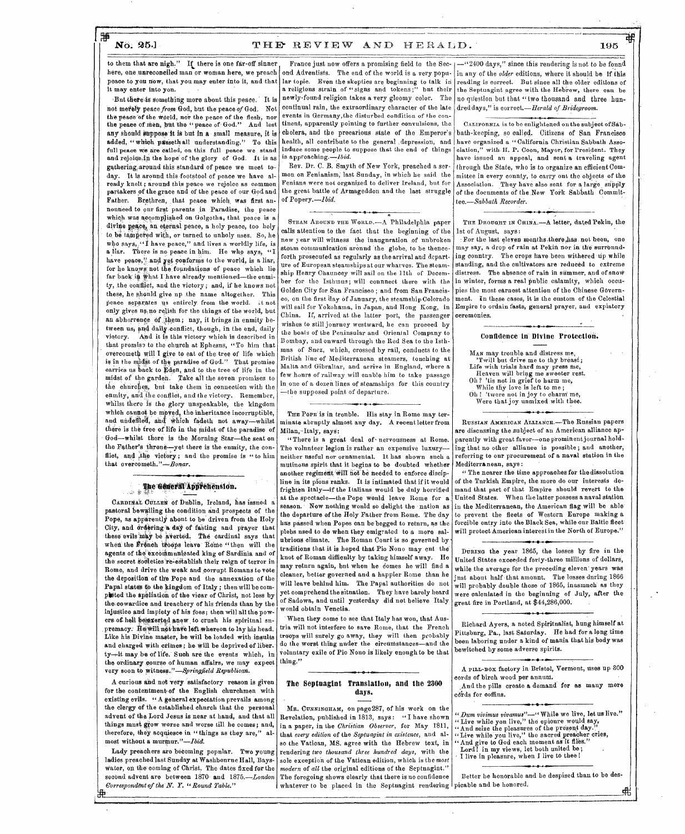## H

#### No. 25.] THE REVIEW AND HERALD. 195

to them that are nigh." If there is one far-off sinner here, one unreconeiled man or woman here, we preach peace to you now, that you may enter into it, and that it may enter into you.

But there is something more about this peace. It is net merely peace from God, but the peace of God. Not the peace of the world, nor the peace of the flesh, nor the peace of Mem, but the "peace of- God." And lest any should suppose it is but in a small measure, it is added, "which passeth all understanding." To this full peace we are called, on this full peace we stand and rejoice,in the hope of the glory of God. It is as gathering, around this standard of peace we meet today. It is around this footstool of peace we have already knelt; around this peace we rejoice as common partakers of the grace and of the peace of our God and Father. Brethren, that peace which was first annonneed to our first parents in Paradise, the peace which was accomplished on Golgotha, that peace is a divine peace, an eternal peace, a holy peace, too holy to be tampered with, or turned to unholy uses. So, he who says, " I have peace," and lives a worldly life, is a liar. There is no peace in him. He who says, "I have peace," and yet conforms to the world, is a liar, Father. Brethren, that peace which was first an-<br>nonneed to our first parents in Paradise, the peace<br>which was accomplished on Golgotha, that peace is a<br>divine peace, an eternal peace, a holy peace, too holy<br>to be tampered for he knows not the foundations of peace which lie far back in what I have already mentioned-the enmity, the conflict, and the victory; and, if he knows not these, he should give up the name altogether. This peace separates us entirely from the world. it not only gives us no relish for the things of the world, but an abhorrence of them; nay, it brings in enmity between us, and daily conflict, though, in the end, daily victory. And it is this victory which is described in and promiss to the church at Ephesns, "10 him that<br>overcometh will I give to eat of the tree of life which that promise to the church at Ephesns, "To him that is in the midst of the paradise of God." That promise carries us back to Eden, and to the tree of life in the midst of the garden. Take all the seven promises to the churches, but take them in connection with the enmity, and the conflict, and the victory. Remember, whilst there is' the glory unspeakable, the kingdom which cannot be moved, the inheritance incorruptible. and undefiled, and which fadeth not away-whilst there is the tree of life in the midst of the paradise of - God—whilst there is the Morning Star—the seat on the Father's throne—yet there is the enmity, the conflict, and the victory; and the promise is " to him that overcometh." $-Bonar$ .

## ' The Gotern Apprehension.

CARDINAL CULLEN of Dublin, Ireland, has issued a pastoral bewailing the condition and prospects of the Pope, as apparently about to be driven from the Holy City, and ordering a day of fasting and prayer that these evils may be averted. The cardinal says that when the French troops leave Rome "then will the agents of the excommunicated king of Sardinia and of the secret societies re-establish their reign of terror in Rome, and drive the weak and corrupt Romans to vote the deposition of the Pope and the annexation of the Papal states to the kingdom of Italy ; then will be complated the spoliation of the vicar of Christ, not less by the; cowardice and treachery of his friends than by the injustice and impiety of his foes; then will all the powers of hell heterted anew to crush his spiritual snpremacy. He will not have left whereon to lay his head. Like his Divine master, he will be loaded with insults and charged with crimes; he will be deprived of liberty-it may be of life. Such are the events which, in the ordinary course of human affairs, we may expect very soon to witness."—Springfield *Republican.* 

A curious and not very satisfactory reason is given for the contentment-of the English churchmen with existing evils. " A general expectation prevails among the clergy of the established church that the personal advent of the Lord Jesus is near at hand, and that all things mush grow worse and worse till he comes; and, therefore, they acquiesce in "things as they are," almost without a murmur."—Ibid.

Lady preachers are betoming popular. Two young ladies preached last Sunday at Washbourne Hall, Bayswater, on the coming of Christ. The dates fixed for the second advent are between 1870 and 1875.-London *Correspondent-of the N.* Y. *"Round Table."* 

1'1'

end Adventists. The end of the world is a very popu-in any of the *older* editions, where it should be if lar topic. Even the skeptics are beginning to talk in continual rain, the extraordinary character of the late dred days," is correct.—Herald of Bridegroom. events in Germany,the disturbed condition of the continent, apparently pointing to further convulsions, the cholera, and the precarious state of the Emperor's induce some people to suppose that the end of things is approaching.—/b*id.* 

Rev. Dr. C. B. Smyth of New York, preached a sermon on Fenianism, last Sunday, in which he said the Fenians were not organized to deliver Ireland, but for the great battle of Armageddon and the last struggle of Popery.—Ibid.  $\begin{array}{c}\n\text{Perp}, \text{---}Ibid. \\
\hline\n\text{THEORED ARA} \text{Tr} \text{CALD} \text{Tr} \text{CALD} \text{Tr} \text{CALD} \text{Tr} \text{CALD} \text{Tr} \text{CALD} \text{Tr} \text{CALD} \text{Tr} \text{CALD} \text{Tr} \text{CALD} \text{Tr} \text{CALD} \text{Tr} \text{CALD} \text{Tr} \text{CALD} \text{Tr} \text{CALD} \text{Tr} \text{CALD} \text{Tr} \text{CALD} \text{Tr} \text{CALD} \text{Tr$ 

 $\alpha$ 

calls attention to the fact that the beginning of the new year will witness the inauguration of unbroken steam communication around the globe, to be thenceforth prosecuted as regularly as the arrival and departure of European steamships at our wharves. The steamship Henry Chauncey will sail on the 11th of December for the Isthmus; will connnect there with the Golden City for San Francisco ; and from San Francisco, on the first day of January, the steamship Colorado will sail for Yokohama, in Japan, and Hong Kong, in China. If, arrived at the latter port, the passenger wishes to still journey westward, he can proceed by the boats of the Peninsular and Oriental Company to Bombay, and onward through the Red Sea to the Isthmus of Snez, which, crossed by rail, conducts to the British line of Mediterranean, steamers, touching at' Malta and Gibraltar, and arrive in England, where a few hours of railway will enable him to take passage in one of a dozen lines of steamships for this country -the supposed point of departure.

## THE POPE is in tronble. His stay in Rome may ter-

.

minate abruptly almost any day. A recent letter from Milan,-Italy, says: "There is a great deal of nervousness at Rome.

The volunteer legion is rather an expensive luxuryneither useful nor ornamental. it has shown such a mutinous spirit that it begins to be doubted whether another regiment will not be needed to enforce discipline in its pions ranks. It is intimated that if it would frighten Italy—if the Italians would be duly horrified at the spectacle—the Pope would leave Rome for a season. Now nothing would so delight the -nation as the departure of the Holy Father from Rome. The day has passed when Popes can bebegged to return, as the plebs nsed to do when they emigrated to a more salubrious climate. The Roman Conrt is so governed by traditions that it is hoped that Pio Nono may cut the knot of Roman difficulty by taking himself away. He may return again, but when he comes he will find a cleaner, better governed and a happier Rome than he will leave behind him. The Papal authorities do not yet comprehend the situation. They have barely heard<br>of Sadowa, and until yesterday did not believe Italy season. Now nothing would so delight the nation as in the<br>the departure of the Holy Father from Rome. The day<br>has passed when Popes can be begged to return, as the forcib<br>plebs used to do when they emigrated to a more salwould obtain Venetia.

When they come to see that Italy has won, that Austria will not interfere to save Rome, that the French troops will surely go away, they will then probably do the worst thing under the circumstances—and the voluntary exile of Pio Nono is likely enough to be that thing."

#### The Septuagint Translation, and the 2300 days  $\overline{\mathbf{u}}$ ,  $\overline{\mathbf{u}}$ ,  $\overline{\mathbf{u}}$ ,  $\overline{\mathbf{u}}$ ,  $\overline{\mathbf{u}}$ ,  $\overline{\mathbf{u}}$ ,  $\overline{\mathbf{u}}$ ,  $\overline{\mathbf{u}}$ ,  $\overline{\mathbf{u}}$ ,  $\overline{\mathbf{u}}$ ,  $\overline{\mathbf{u}}$ ,  $\overline{\mathbf{u}}$ ,  $\overline{\mathbf{u}}$ ,  $\overline{\mathbf{u}}$ ,  $\overline{\mathbf{u}}$ ,  $\overline{\mathbf{u}}$ ,  $\overline{\mathbf{u}}$ ,

Ma. CUNNINGHAM, on page287, of his work on the Revelation, published in 1813, says: "I have shown in a paper, in the *Chriitian Observer,* for May 1811, that *every edition* of the *Septuagint in existence,* and also the Vatican, MS. agree with the Hebrew text, in rendering *two thousand three hundred days,* with the sole exception of the Vatican edition, which is the *most modern* of *all* the original editions of the Septuagint." The foregoing shows clearly that there is no confidence whatever to be placed in the Septuagint rendering picable and be honored.

France just now offers a promising field to the Sec-  $+$  - "2400 days," since this rendering is not to be fonnd a religions strain of "signs and tokens;" but their the Septuagint agree with the Hebrew, there can be newly-found religion takes a very gloomy color. The no question but that "two thousand and three hunreading is correct. But since all the older editions of

health, all contribute to the general :depression, and have organized a "California Christian Sabbath Asso-CALIFORNIA is to be enlightened on the subject of Sabbath-keeping, so called. Citizens of San Francisco eiation," with H. P. Coon, Mayor, for President. They have issued an appeal, and sent a traveling agent through the State, who is to organize an efficient Committee in every connty, to carry ont the objects of the Association. They have also sent for a large supply of the documents of the New York Sabbath Commit*tee.—Sabbath Recorder.* 

## , ;

THE DROUGHT IN CHINA.-A letter, dated Pekin, the 1st of August, says:

distress. The absence of rain in summer, and of snow For the last eleven months, there has not been, one may say, a drop of rain at Pekin nor in the surronnding conntry. The crops have been withered up while standing, and the cnltivators are reduced to extreme in winter, forms a real public calamity, which occupies the most earnest attention of the Chinese Government. In these cases, it is the custom of the Celestial Empire to ordain fasts, general prayer, and expiatory ceremonies.

> .e<del>.e.c.</del> Confidence in Divine Protection.

MAN may trouble and distress me, 'Twill but drive me to thy breast; Life with trials hard may press me, Heaven will bring me sweeter rest. Oh? 'tis not in grief to harm me,<br>While thy love is left to me; Oh ! 'twere not in joy to charm me, Were that joy unmixed with thee.

RUSSIAN AMERICAN ALLIANCE.—The Russian papers are discussing the subject of an American alliance apparently with great favor—one prominentjournal holding that no other alliance is possible ; and another, referring to our procurement of a naval station in the Mediterranean, says:

" The nearer the time approaches for the dissolution of the Turkish Empire, the more do our interests demand that part of that Empire should revert to the United States. When the latter possess a naval station in the Mediterranean, the American flag will be able' to prevent the fleets of Western Europe making a forcible entry into the Black Sea, while our Baltic fleet will protect American interest in the North of Europe." •

DURING the year 1865, the losses by fire in the United States exceeded forty-three millions of dollars, while the average for the preceding eleven years was jnst about half that amonnt. The losses during 1866 will probably double those of 1865, inasmuch as they were calculated in the beginning of July, after the fire in Portland, at  $$44,286,000$ .

Richard Ayers, a noted Spiritualist, hung himself at Pittsburg, Pa., last Saturday. He had for along time been laboring under a kind of mania that his body was bewitched by some adverse spirits.

• A PILL-BOX factory in Bristol, Vermont, uses up 800 cords of birch wood per annum,

s

And the pills create a demand for as many more edrds for coffins.

- *"Dum vivimus vivamus"—"* While we live, let us live."
- " Live while you live," the epionre would say,
- "And seize the pleasures of the present day.", "Live while you live," the saeredpreacher cries, "And give to God each moment as' it flies:" Lord! in my views, let both united be;
- 
- 
- *i* I live in pleasure, when I live to thee!

Better be honorable and be despised than to be des-鼎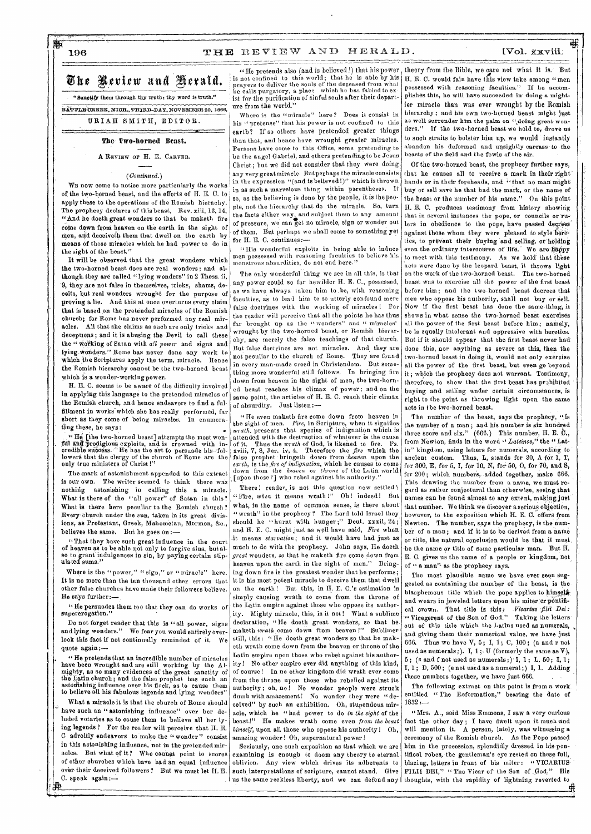### 196 THE REVIEW AND HERALD.

## The Review and Herald.

"Sandtify them through thy truth: thy word is truth." BATTLE CREEK, MICH., THIRD-DAY, NOVEMBER 20, 1866,

URIAH SMITH, EDITOR.

The Two-horned Beast.

A REVIEW OF **H.** E. CARVER.

*(Continued.)* 

WE now come to notice more particularly the works of the two-horned beast, and the efforts of H. K C. to apply these to the operations of the Romish hierachy. The prophecy declares of this beast, Rev. xiii, 13, 14, "And he doeth great wonders so that be maketh fire come dawn from heaven on the earth in the sight of men, and deceiveth them that dwell on the earth by means of those miracles which he had power to do in the sight of the beast.'

It will be observed that the great wonders which the two-horned beast does are real wonders: and although they are called "lying wonders" in 2 Thess. ii, 9, they are not false in themselves, tricks, shams, deoeits, but real wonders wrought for the purpose of proving a lie. And this at once overturns every claim that is based on the pretended miracles of the Romish church; for Rome has never performed any real miracles. All that she claims as sach are only tricks and deceptions; and it is abusing the Devil to call these the " working of Satan with *all power* and signs and lying Wonders." Rome has never done any work to which the Scriptures apply the term, miracle. Hence the Romish hierarchy cannot be the two-horned beast Which is a wonder-working power.

H. E. C. seems to be aware of the difficulty involved in applying this language to the pretended miracles of the Romish church, and hence endeavors to find a fulfillment in works which she has really performed, far short as they come of being miracles. In enumerating these, he says:

I'll and prodigious exploits, and is crowned with incredible success. "He has the art to persuade his fol-<br>credible success. "He has the art to persuade his fol-<br>lowers that the clergy of the church of Rome are the only true ministers of Christ!"

The mark of astonishment appended to this extract is our own. The writer seemed to think there was nothing astonishing in calling this a miracle. What is there of the "all power" of Satan in this? What is there here peculiar to the Romish church? Every church under the sun, taken in its great divisions, as Protestant, Greek, Mahometan, Mormon, &c., believes **the** same. But he goes on :—

" That they have such great influence in the court **of** heaven as to be able not only to forgive sins, butal**so to grant** indulgences in sin, by paying certain stipulated sums."

Where is the "power," " sign," or "miracle" here. **It is no more** than the ten thousand other errors that **other** false churches have made their followers believe. **He** says further:—

"**lie persuades them** too that they can do works of **supererogation."** 

Do not forget reader that this is "all power, signs **and lying** wonders." We fear you would entirely overlook **this fact** if not continually reminded of it. We **quote again:—** 

**. " He pretends** that an incredible number of miracles **have been wrought** and are still working by the Almighty, as so many evidences of the great sanctity of<br>the Latin church; and the false prophet has such an<br>astonishing influence over his flock, as to cause them<br>to believe all his fabulous legends and lying wonders"

**What a miracle it** is that the church of Rome should have such an "astonishing influence" over ber deluded votaries **as** to cause them to believe all her lying legends ? For the reader will perceive that H. E. C **adroitly** endeavors to make the "wonder" consist in this astonishing influence, not in the pretended miracles. But what of it? Who cannot point to scores of other churches which have had an equal influence ov'er their deceived followers? But we must let H. E. C. speak again:—

is not confined to this world; that he is able by his prayers to deliver the souls of the deceased from what **he** calls purgatory, a place which he has fabled to ex-ist for the purification of sinful souls after their departure from the world."

Where is the "miracle" here? Does it consist in his " pretense" that his power is not confined to this earth? If so others have pretended greater things than that, and hence have wrought greater miracles. Persons have come to this Office, some pretending to be the angel Gabriel, and others pretending to be Jesus Christ; but we did not consider that they were doing any very great miracle. Butperhaps the miracle consists in the expression "(and is believed!)" which is thrown in as such a marvelous thing within parentheses. If so, as the believing is done by the people, it is thepeopie, not the hierarchy that do the miracle. So, turn the facts either way, and subject them to any amount of pressure, we can get no miracle, sign or wonder out of them. But perhaps we shall come to something yet for H. E. C. continues:-

"His wonderful exploits in being able to induce men **possessed** with reasoning faculties to believe his monstrous absurdities, do not end here."

The only wonderful thing we see in all this, is that any power could so far bewilder H. E. C., possessed, as we have always taken him to be, with reasoning faculties, as to lead him to so utterly confound mere false doctrines with the working of miracles ! For the reader will perceive that all the points he has thus far brought up as the "wonders" and " miracles' wrought by the two-horned beast, or Romish hierarchy, are merely the false teachings of that church. But false doctrines are not miracles. And they are not peculiar to the church of Rome. They are found in every man-made creed in Christendom. But something more wonderful still follows. In bringing fire down from heaven in the sight of men, the two-horned beast reaches his climax of power; and on the same point, the articles of H. E. C. reach their climax of absurdity. Just listen:—

"He even maketh fire come down from heaven in the sight of men. Fire, in Scripture, when it signifies-<br>*wrath*, presents that species of indignation which is<br>attended with the destruction of whatever is the cause of it. Thus the *wrath* of God, is likened to fire. Ps.<br>xviii, 7, 8, Jer. iv, 4. Therefore the *fire* which the<br>false prophet bringeth down from *heaven* upon the<br>earth, is the *fire of indignation*, which he causes to co [upon those ?] who **rebel ngainst** his authority."

There! reader, is not this question now settled ! "Fire, *when* it means wrath 1" Oh ! indeed! But what, in the name of common sense, is there about " wrath" in the prophecy ? The Lord told Israel they should he "hurnt with hunger;" Deut. xxxii, 24; and H. E. C. might just as well have said, *Fire* when .it means *starvation;* and it would have had just as much to do with the prophecy. John gays, He doeth *great* wonders, *so* that he maketh fire come down from heaven upon the earth in the sight of men." Bringing down fire is the greatest wonder that he performs; it is his most potent miracle to deceive them that dwell on the earth ! But this, in H. E. C.'s estimation is simply causing wrath to come from the throne of the Latin empire against those who oppose its authority. Mighty miracle, this, is it not! What a sublime declaration, "He deedh great wonders, so that he maketh *wrath* come down from heaven !" Sublimer still, this: "He doeth great wonders so that he maketh wrath come down from the heaven or throne of the Latin empire upon those who rebel against his authority! No other empire ever did anything of this kind, of course ! In no other kingdom did wrath ever come from the throne upon those who rebelled against its authority; oh, no! No wonder people were struck dumb with amazement! No wonder they were "deceived" by such an exhibition. Oh, stupendous miracle, which he "had power to do *in the sight* of the beast!" He makes wrath come even *from the beast himself,* upon all those who oppose his authority! Oh, amazing wonder! Oh, supernatural power!

Seriously, one such exposition as that which we are examining is enough to doom any theory to eternal oblivion. Any view whioh drives its adherents to such interpretations of scripture, cannot stand. Give

"He pretends also (and is believed!) that his power, theory from the Bible, we care not what it is. But H. E. C. would fain have this view take among "men possessed with reasoning faculties." If he accomplishes this, he will have succeeded in doing a mightier miracle than was ever wrought by the Romish hierarchy; and his own two-horned beast might just as well surrender him the palm on "doing great won-<br>ders." If the two-horned beast we hold to, drove us If the two-horned beast we hold to, drove us to such straits to bolster him up, we would instantly abandon his deformed and unsightly carcass to the beasts of the field and the fowls of the air.

> Of the two-horned beast, the prophecy further says, that he causes all to receive a mark in their right hands or in their foreheads, and "that no man might buy or sell save he that had the mark, or the name of the beast or the number of his name," On this point H. E. C. produces testimony from history showing that in several instances the pope, or councils or rulers in obedience to the pope, have passed degrees against those whom they were pleased to style heretics, to prevent their buying and selling, or bedding even the ordinary intercourse of life. We are happy to meet with this testimony. As we hold that these acts were done by the leopard beast, it throws light on the work of the two-horned beast. The two-horned beast was to exercise all the power of the first beast before him; and the two-horned beast decrees that men who oppose his authority, shall not buy or sell. Now if the first beast has done the same thing, it shows in what sense the two-horned beast exercises all the power of the first beast before him ; namely, he is equally intolerant and oppressive with heretics. But if it should appear that the first beast never had done this, nor anything as severe as this, then the two-horned beast in doing it, would not only exercise all the power of the first beast, but. even go beyond it ; which the prophecy does not warrant. Testimony, therefore, to show that the first beast has prohibited buying and selling under certain circumstances, is right to the point as throwing light upon the same acts in the two-horned beast.

> The number of the beast, says the prophecy, "is the number of a man; and his number is six hundred three score and six."  $(666.)$  This number, H. E. C., from Newton, finds in the word "Lateinos," the "Latin" kingdom, using letters for numerals, according to ancient custom. Thus, L, stands for 30, A for 1, T, for 300, E, for 5, I, for 10, N, for 50, **0,** for 70, and S, for 200; which numbers, added together, make 666. This drawing the number from a name, we must regard as rather conjectural than otherwise, seeing that names can be found almost to any extent, making just that number. We think we discover a serious objection, however, to the exposition which H. E. C. offers from Newton. The number, says the prophecy, is the number of a man; and if it is to be derived from a name or title, the natural conclusion would be that it must, be the name or title of some particular man. But H. E. C. gives us the name of a people or kingdom, not of " a man" as the prophecy says.

> The most plausible name we have ever seen suggested as containing the number of the beast, is the blasphemous title which the pope applies to himsels. and wears in jeweled letters upon his miter or pontifical crown. That title is thin: *Vicarius filii Dei:*  "Vicegerent of the Son of God." Taking the letters out of this title which the Latins used as numerals, and giving them their numerical value, we have just 666. Thus we have V, 5 ; I, 1; 0, 100 ; (a and r not used as numerals;  $\left( \right)$ . I,  $1$ ; U (formerly the same as V), 5 ; (s and f not used as numerals ;) I, 1 ; L, 50; **I,** 1;  $I, 1$ ; D, 500; (e not used as a numeral;) I, 1. Adding these numbers together, we have just 666.

> The following extract on this point is from a work. entitled "The Reformation," bearing the date of 1832 :—

us the same reckless liberty, and we can defend any thoughts, with the rapidity of lightning reverted to "Mrs. A., said Miss Emmons, I saw a very curious fact the other day ; I have dwelt upon it much and will mention it. A person, lately, was witnessing a ceremony of the Romish church. As the Pope passed him in the procession, splendidly dressed in his pontifical robes, the gentleman's eye rested on these full, blazing, letters in front of his miter : "VICARIUS FILII DEI," " The Vicar of the Son of God." His

#### [Vol. xxviii.

gig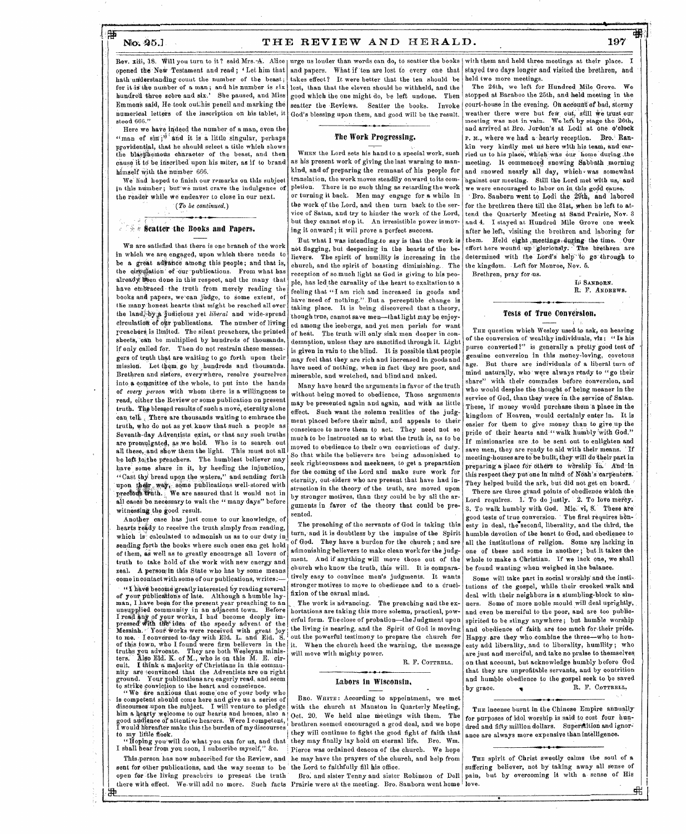肇

### No. 25.1 THE REVIEW AND HERALD. 197

Rev. xiii, 18. Will you turn to it ? said Mrs. A. Alice | urge us louder than words can do, to scatter the books | with them and held three meetings at their place. I opened the New Testament and read; 'Let him that and papers. What if ten are lost to every one that stayed two days longer and visited the brethren, and hath understanding count the number of the beast: for it is the number of a man; and his number is six hundred three score and six.' She paused, and Miss Emmon's said, He took out his pencil and marking the numerical letters of the inscription on his tablet, it stood 666."

Here we have indeed the number of a man, even the "man of sin;<sup>4 and</sup> it is a little singular, perhaps providential, that he should select a title which shows the blasphemous character of the beast, and then cause it to be inscribed upon his miter, as if to brand himself With the number 666.

We' had hoped to finish our remarks on this subject in this number; but'we must crave the indulgence of the reader while We endeavor to close in our next. *(To be continued.)* 

#### $f \circ g$  seatter the Books and Papers.

WE are satisfisd that there is one branch of the work in which we are engaged, upon which there needs to be a great advance among this people; and that is, the circulation of our publications. From what has already been done in this respect, and the many that. have embraced the truth from merely reading the books and papers, we can judge, to some extent, of the many-'honest hearts that might be reached all over the land, by a judicious yet *liberal* and wide-spread circulation of onr publications. The number of living preachers is limited. The silent preachers, the printed sheets, oan be multiplied by hundreds of thousands, if only called for. Then do not restrain these messengers of truth that are waiting to go forth upon their mission. Let them, go by pundreds and thousands. Brethren and sisters, everywhere, resolve yourselves into a committee of the whole, to put into the hands of *every person* with whom there is a willingness to read, either the Review or some publication on present truth. The blessed results of such a move, eternity alone can tell. .There are thousands waiting to embrace the truth, who do not as yet, know that such a people as Seventh-day Adventists exist, or that any such truths are promulgated, as we hold. Who is to search out all these, and show them the light. This must not all be left to the preachers. The humblest believer may have some share in it, by heeding the injunction, "Cast thy bread upon the waters," and sending forth 'upon their. way, some publications well-stored with prectous truth. We are assured that it would not in all cases be necessary to wait the " many days" before witnessing the good result.

Another case has just come to our knowledge, of hearts ready to receive the truth simply from reading, which is calculated to admonish us as to our duty in sending forth the books where such ones can get hold of them, as well as to greatly encourage all lovers of truth to take hold of the work with new energy and zeal. A persomin this State who has by some means come incontact with some of our publications, writes:-

"I have become greatly interested by reading several of your publications of late. Although a humble lay-<br>man, I have been for the present year preaching to an<br>unsupplied community in an adjacent town. Before I read any of your works, I had become deeply im-<br>pressed with the idea of the speedy advent of the Messiah. Your works were received with great joy<br>to me. I conversed to-day with Eld. L. and Eld. S.<br>of this town, who I found were firm believers in the truths you advocate. They are both Wesleyan minis-ters. Also Eld: K. of M., who is on this M. E. cir-cuit. I think a majority of Christians in this community are convinced that the Adventists are on right ground. Your publications are eagerly read, and seem to strike conviction to the heart and conscience.

are anxious that some one of your body who is competent should come here and give us a series of discourses-upon the subject. I will venture to pledge him a hearty welcome to our hearts and homes, also a good audience of attentive hearers. Were I competent, I would nereafter make this the burden of my discourses to my little flock.

"Hoping yenwill do what you can for us, and that I shall hear from you soon, I subscribe myself," &c.

sent for other publications, and the way seems to be open for the living preachers to present the truth

takes effect? It were better that the ten should be lost, than that the eleven should be withheld, and the good which the one might do, be left undone. Then scatter the Reviews. Scatter the books. Invoke God's blessing upon them, and good will be the result.

#### The Work Progressing.

WREN the Lord sets his hand to a special work, such as his present work of giving the last warning to mankind, and of preparing the remnant of his people for translation, the work moves steadily onward to its completion. There is no such thing as retarding the work or turning it back. Men may engage for a while in the work of the Lord, and then turn back to the service of Satan, and try to hinder the work of the Lord, but they cannot stop it. An irresistible power ismoving it onward; it will prove a perfect success.

But what I was intending to say is that the work is not flagging, but deepening in the hearts of the believers. The spirit of humility is increasing in the church, and the spirit of boasting diminishing.. The reception of so much light as God is giving to his people, has led the carnality of the heart to exaltation to a feeling that "I am rich and increased in goods and have need of nothing.". But a perceptible change is taking place. It is being discovered that a theory, though true, cannot save men—that light may be enjoyed among the icebergs, and yet men perish for want of heat. The truth will only sink men deeper in condemnation, unless they are sanctified through it. Light is given in vain to the blind. It is possible that people may feel that they are rich and increased in goods and have need of nothing, when in fact they are poor, and miserable, and wretched, and blind and naked.

Many have heard the arguments in favor of the truth without being moved to obedience, Those arguments may be presented again and again, and with as little effect. Such want the solemn realities of the judgment placed before their mind, and appeals to their conscience to move them to act. They need not so much to be instructed as to what the truth is, as to be moved to obedience to their own convictions of duty. So that while the believers are being admonished to seek righteousness and meekness, to get a preparation for the coming of the Lord and make sure work for eternity, out-siders who are present that have had instruction in the theory of the truth, are moved upon by stronger motives, than they could be by all the arguments in favor of the theory that could be presented.

The preaching of the servants of God is taking this turn, and it is doubtless by the impulse of the Spirit of God. They have a burden for the church ; and are admonishing believers to make clean work for the judgment. And if anything will move those out of the church who know the truth, this will. It is comparatively easy to convince men's judgments. It wants stronger motives to move to obedience and to a crucifixion of the carnal mind.

The work is advancing. The preaching and the exhortations are taking this more solemn, practical, powerful form. The close of probation—the Judgment upon the living is nearing, and the Spirit of God is moving out the powerful testimony to prepare the church for When the church heed the warning, the message will move with mighty power.

R. F. COTTRELL.

#### Labors in Wisconsin,

This person has now subscribed for the Review, and he may have the prayers of the church, and help from BRO. WRITE : According to appointment, we met with the church at Mauston in Quarterly Meeting, Oct. 20. We held nine meetings with them. The brethren seemed encouraged a good deal, and we hope they will continue to fight the good fight of faith that they may finally lay hold on eternal life. Bro. Wm. Pierce was ordained deacon of the church. We hope the Lord to faithfully fill his office.

there with effect. We-will add no more. Such facts Prairie were at the meeting. Bro. Sanborn went home love.

held two more meetings.

The 24th, we left for Hundred Mile Grove. We stopped at Baraboo the 25th, and held meeting in the court-house in the evening. On account of bad, stormy weather there were but few out, still we trust our meeting was not in vain. We left by stage the 26th, and arrived at Bro. Jordon's at Lodi at one. o'clock P. M., where we had a hearty reception. Bro. Rankin very kindly met us here with his team, and carried us to his place, which was our 'home during the meeting. It commenced snowing Sabbath morning and snowed nearly all day, which *was* somewhat against our meeting. Still the Lord met with us, and we were encouraged to labor on in this godd cause.

· Bro. Sanborn went to Lodi the 29th, and labored for the brethren there till the 31st, when he left to attend the Quarterly Meeting at Sand Prairie, Nov. 3 and 4. I stayed at Hundred Mile Grove one week after he left, visiting the brethren and laboring for them. Held eight meetings during the time. Our effort here wound up gloriously. The brethren are determined with the Lord's help"to go through to the kingdom. . Left for Monroe, Nov. 6. Brethren, pray for us.

Li SANBORN. R. F. ANDREWS.

#### Tests of True Conversion.

THE question which Wesley used to ask, on hearing of the conversion of wealthy individuals, viz: " Is his purse converted?" is generally a pretty good test of genuine conversion in this money-loving, covetous age. But there are individuals of a liberal turn of mind naturally, who were always ready to "go their share" with their comrades before conversion, and who would despise the thought of being meaner in the service of God, than they were in the service of Satan. These, if money would purchase them a place in the kingdom of Heaven, would certainly enter in. It is easier for them to give money than to give, up the pride of their hearts and "walk humbly with God." If missionaries are .to be sent out to enlighten and save men, they are ready to aid with their means. If meeting-houses are to be built; they- will do their part in preparing a place for others to worship in. And in this respect they put one in mind of Noah's carpenters. They helped build the ark, but did not get on board.

There are three grand points of obedience which the Lord requires. 1. To do justly. 2. To love mercy. 3. To walk humbly with God. Mic. vi, R.' These are good tests of true conversion. The first requires honesty in deal, the`second, liberality, and the third, the humble devotion of the heart to God, and obedience to all the institutions of religion. Some are lacking in one of these and some in another; but it takes the whole to make a Christian. If we lack one, we shall be found wanting when weighed in the balance.

Some will take part in social worship and the institutions of the gospel, while their crooked walk and deal with their neighbors is a stumbling-block to sinners. Some of more noble mould will deal uprightly, and even be merciful to the poor, and are too publicspirited to be stingy anywhere; but humble worship and obedience of faith are too much for:their pride. Happy-are they who combine the three—who to honesty add liberality, and to liberality, humility; who are just and merciful, and take no praise ta themselves on that account, but acknowledge humbly before God that they are unprofitable servants, and by eontrition and humble obedience to the gospel seek to be saved by grace.  $\bullet$  R. F. COTTRELL,

THE incense burnt in the Chinese Empire annually for purposes of idol worship is said to cost four hundred and fifty million dollars. Superstition and ignorance are always more expensive than intelligence.

Bro. and sister Tenny and sister Robinson of Dell pain, but by overcoming it with a sense of His THE spirit of Christ sweetly calms the soul of a suffering believer, not by taking away all sense of

弔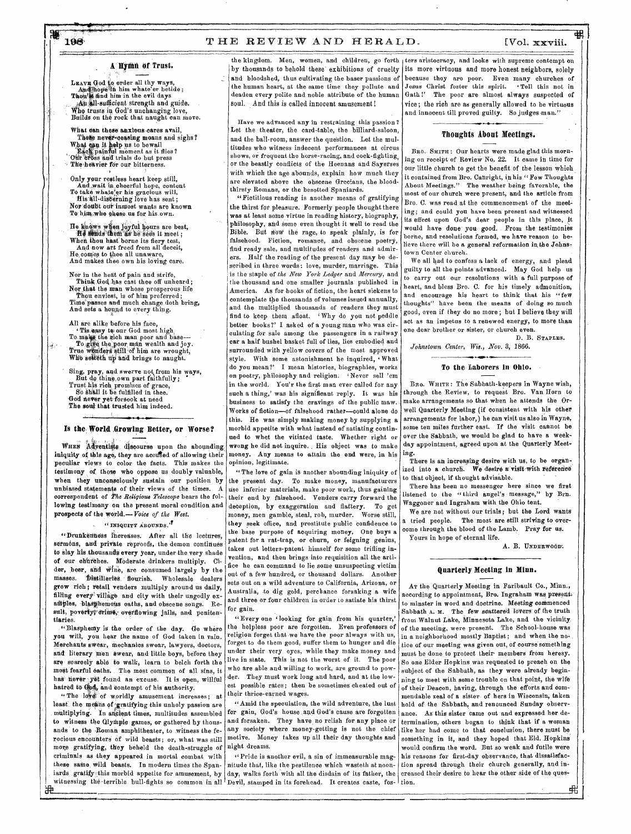## A Hymn of Trust.

LEAVE God to order all thy ways,<br>And hope it him whate'er betide;<br>Thou% find him in the evil days .An all-eufficient strength and guide. Who trusts in God's unchanging love, Builds on the rock that naught can move.

What can these anxious cares avail. These never-ceasing moans and sighs? What ean it help us to bewail<br>Each painful moment as it flies?<br>Our eross and trials do but press The heavier for our bitterness.

Only your reatless heart keep still,<br>And wait in cheerful hope, content<br>To take whate'er his gracious will, His all-distierning love has sent; Nor-doubt oar inmost wants are known To him who chose us for his own.

When thou hast borne its fiery test,<br>And now art freed from all deceit, He comes to thee all unaware, And makes thee own his loving care.

Nor in the heat of pain and strife,<br>Think God has cast thee off unheard; Nor that the man whose prosperous life Thou enviest, is of him preferred;<br>Time passes and much change doth bring,<br>And sets a hogynd to every thing.

All are alike before his face, To make the rich man poor and base—<br>To give the poor man wealth and joy. True wonders still-of him are wrought, Who selteth up and brings to naught.

*" Sing,* pray, and swerve not from his ways, But do thine own part faithfully; • Trust his rich promises of grace, So Shall it be fulfilled in thee. God never yet forsook at need<br>The soul that trusted him indeed.

#### • Is the, World ,Growing Better, or Worse?

WHEN Adventists discourse upon the abounding iniquity of this age, they are accused of allowing their peculiar views to color the facts. This makes the testimony of those who oppose us doubly valuable, when they unconsciously sustain our position by unbiased statements of their views of the times. A correspondent of *The \_Religious Telescope* bears the following testimony on the present moral condition and prospects of the world.— *Voice of the West.* 

#### "INIQUITY ABOUNDS."

amples, blasphemous oaths, and obscene songs.  $Re = \begin{vmatrix} and & line \\ for & gain. \end{vmatrix}$ "Drunkenness increases. After all the lectures, sermons, and private reproofs, the demon continues to slay his thousands every year, under the very shade of our churches. Moderate drinkers multiply. Cider, beer, and Wine, are consumed largely by the masses. Distilleries flourish. Wholesale dealers grow rich; retail venders multiply around us daily, filling every village and city with their ungodly exsult, poverty, orime, overflowing jails, and penitentiaries.

"Blasphemy is the order of the day. Go where you will, you hear the name of God taken in vain, Merchants swear, mechanics swear, lawyers, doctors, and literary men swear, and little boys, before they are scarcely able to walk, learn to belch forth the most fearful oaths. The most common of all sins, it has never yet found an excuse. It is open, willful hatred to God, and contempt of his authority.

ards gratity this morbid appetite for amusement, by day, walks forth with all the disdain of its father, the witnessing the terrible bull-fights so common in all Devil, stamped in its forehead. It creates caste, fos-"The love of worldly amusement increases; at least the means of gratifying this unholy passion are multiplying. In ancient times, multitudes assembled to witness the Glympic games, or gathered by thousands to the Roman amphitheater, to witness the ferocious encounters of wild beasts; or, what was still more gratifying, they beheld the death-struggle of criminals as they appeared in mortal combat with these same, wild beasts. In modern times the Spaniards gratify this morbid appetite for amusement, by

蛊

and bloodshed, thus cultivating the baser passions of the human heart, at the same time they pollute and deaden every polite and noble attribute of the human soul. And this is called innocent amusement!

Have we advanced any in restraining this passion ? Let the theater, the card-table, the billiard-saloon, and the ball-room, answer the question. Let the multitudes who witness indecent performances at circus shows, or frequent the horse-racing, and cook-fighting, or the beastly conflicts of the Heenans and Sayerses with which the age abounds, explain how much they are elevated above the obscene Grecians, the bloodthirsty Romans, or the besotted Spaniards.

"Fictitious reading is another means of gratifying the thirst for pleasure. Formerly people thought there was at least some virtue in reading history, biography, philosophy, and some even thought it well to read the Bible. But now the rage, to speak plainly, is for falsehood. Fiction, romance, and obscene poetry, find ready sale, and multitudes of readers and admirers. Half the reading of the present day may be described in three words: love, murder, marriage. This is the staple of *the New York Ledger* and *Mercury,* and the thousand and one smaller journals published in America. As for books of fiction, the heart sickens to contemplate the thousands of volumes issued annually, and the multiplied thousands of readers they must find to keep them afloat. ' Why do you not peddle better books?' I asked of a young man who was cir-Tis easy to our God most high culating for sale among the passengers in a railway one car a half bushel basket full of lies, lies embodied and surrounded with yellow covers of the most approved style. With some astonishment he inquired, 'What do you mean?' I mean histories, biographies, works on poetry, philosophy and religion. 'Never sell 'em in the world. You'r the first man ever called for any such a thing,' was his significant reply. It was his business to satisfy the cravings of the public maw, Works of fiction—of falsehood rather—could alone do this. He was simply making money by supplying a morbid appetite with what instead of satiating continued to whet the vitiated taste. Whether right or wrong he did not inquire. , His object was to make money. Any means to attain the end were, in his opinion, legitimate. He knows when joyful hours are best,<br> **It is a some even thought it well to read the** would would be a strategiern between the plainly, is for would

"The love of gain is another abounding iniquity of the present day. To make money, manufacturers use inferior materials, make poor work, thus gaining their end by falsehood. Venders carry forward the deception, by exaggeration and flattery. To get money, men gamble, steal, rob, murder. Worse still, they seek office, and prostitute public confidence to the base purpose of acquiring money, One buys a patent for a rat-trap, or churn, or feigning genius, takes out letters-patent himself for some trifling invention, and then brings into requisition all the artifice he can command to lie some unsuspecting victim out of a few hundred, or thousand dollars. Another sets out on a wild adventure to California, Arizona, or Australia, to dig gold, perchance forsaking a wife and three or four children in order to satiate his thirst of our churches. Moderate drinkers multiply. Ci-<br>der, beer, and wine, are consumed largely by the<br>masses. Distilleries flourish. Wholesale dealers out of a few hundred, or thousand dollars. Another<br>grow rich; retail vender

for gain. "Every one 'looking for gain from his quarter,' the helpless poor are forgotten. Even professors of religion forget that we have the poor always with us, forget to do them good, suffer them to hunger and die under their very eyes, while they make money and live in state. This is not the worst of it. The poor who are able and willing to work, are ground to powder. They must work long and hard, and at the lowest possible rates: then be sometimes cheated out of their thrice-earned wages.

"Amid the speculation, the wild adventure, the lust for gain, God's house and God's cause are forgotten and forsaken. They have, no relish for any place or any society where money-getting is not the chief motive. Money takes up all their day thoughts and night dreams.

 $\lq\lq$  Pride is another evil, a sin of immeasurable magnitude that, like the pestilence which wasteth at noonday, walks forth with all the disdain of its father, the

the kingdom. Men, women, and children, go forth ters aristocracy, and looks with supreme contempt on by thousands to behold these exhibitions of cruelty its more virtuous and more honest neighbors, solely because they are poor. Even many churches of Jesus Christ foster this spirit. ' Tell this not in Gath!' The poor are almost always suspected of vice; the rich are as generally allowed to be virtuous and innocent till proved guilty. So judges man."

#### Thoughts About Meetings.

BRO. SMITH: Our hearts were made glad this morning on receipt of Review No. 22. It came in time for our little church to get the benefit of the lesson which it contained from Bro. Canright, in his "Few Thoughts About Meetings." The weather being favorable, the most of our church were present, and the article from Bro. C. was read at the commencement of the meet ing; and could you have been present and witnessed its effect upon God's dear people in this place, it would have done you good. From the testimonies borne, and resolutions formed, we have reason to be-Here there will be a general reformation in the Johnstown Center church.

We all had to confess a lack of energy, and plead guilty to all the points advanced. May God help us guilty to all the points advanced. May God help us<br>to carry out our resolutions with a full purpose of heart, and bless Bro. C. for his timely admonition, and encourage his heart to think that his "few thoughts" have been the means of doing so much good, even if they do no more ; but I believe they will act as an impetus to a renewed energy, to more than dear brother or sister, or church even.

D. B. STAPLES.  $Johnstown$  Center, Wis., Nov. 3, 1866.

#### **.4111.•**  To the Laborers in Ohio.

BRO. WHITE: The Sabbath-keepers in Wayne wish, through the Review, to request Bro. Van Horn to make arrangements so that when he attends the Orwell Quarterly Meeting (if consistent with his other arrangements for labor,) he can visit us also in Wayne, some ten miles further east. If the visit cannot be over the Sabbath, we would be glad to have a weekday appointment, agreed upon at the Quarterly Meeting.

There is an increasing desire with us, to be organized into a church. We desire a visit with reference to that object, if thought advisable.

There has been no messenger here since we first listened to the "third angel's message," by Brn. Waggoner and Ingraham with the Ohio tent.

We are not without our trials; but the Lord wants a tried people. The most are still striving to overcome through the blood of the Lamb. Pray for us. Yours in hope of eternal life.

A. B. UNDERWOOD.

弔

## • Quarterly Meeting in Minn.

AT the Quarterly Meeting in Faribault Co., Minn., according to appointment, Bro. Ingraham was present. minster in word and doctrine. Meeting commenced Sabbath A. M. The few scattered lovers of the truth from Walnut Lake, Minnesota Lake, and the vicinity. of the meeting, were present. The School-house was in a neighborhood mostly Baptist; and when the notice of our meeting was given out, of course something must be done to protect their members from heresy. So one Elder Hopkins was requested to preach on the subject of the Sabbath, as they were already beginning to meet with some trouble on that point, the wife of their Deacon, having, through the efforts and commendable zeal of a sister of hers in Wisconsin, taken hold of the Sabbath, and renounced Sunday observance. As this sister came out and expressed her determination, others began to think that if a woman like her had come to that conclusion, there must be. something in it, and they hoped that Eld. Hopkins would confirm the word. But so weak and futile were his reasons for first-day observance, that dissatisfaction spread through their church generally, and increased their desire to hear the other side of the ques-Lion.

喁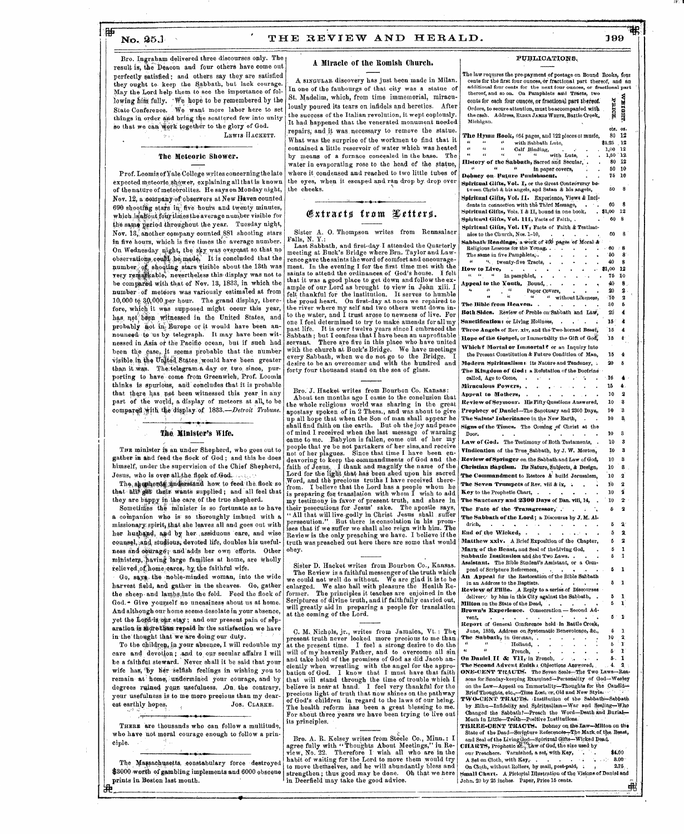#### ∰ No. 25.1

#### THE REVIEW AND HERALD.

A Miracle of the Romish Church.

## 199

审

**PUBLICATIONS** 

The law requires the pre-payment of postage on Bound Books, four

Bro. Ingraham delivered three discourses only. The result is, the Deacon and four others have come out perfectly satisfied; and others say they are satisfied they ought to keep the Sabbath, but lack courage. May the Lord help them to see the importance of following him fully. We hope to be remembered by the<br>State Conference. We want more labor here to set things in order and bring the scattered few into unity so that we can work together to the glory of God.

LEWIS HACKETT.

#### The Meteoric Shower.

Prof. Loomis of Yale College writes concerning the late expected meteoric shower, explaining all that is known<br>of the nature of meteorolites. He says on Monday night, Nov. 12, a company of observers at New Haven counted 690 shooting stars in five hours and twenty minutes, which is about four times the average number visible for the same period throughout the year. Tuesday night, Nov. 13, another company counted 881 shooting stars in five hours, which is five times the average number. On Wednesday night, the sky was overcast so that no observations could be made. It is concluded that the number of shooting stars visible about the 13th was very remarkable, nevertheless this display was not to be compared with that of Nov. 13, 1833, in which the number of meteors was variously estimated at from 10,000 to 30,000 per hour. The grand display, therefore, which it was supposed might occur this year, has not been witnessed in the United States, and probably not in Europe or it would have been announced to us by telegraph. It may have been witnessed in Asia or the Pacific ocean, but if such had been the case, it seems probable that the number<br>visible in the United States would have been greater than it was. The telegram a day or two since, purporting to have come from Greenwich, Prof. Loomis thinks is spurious, and concludes that it is probable that there has not been witnessed this year in any part of the world, a display of meteors at all, to be compared with the display of 1833. Detroit Tribune.

#### The Minister's Wife.

THE minister is an under Shepherd, who goes out to gather in and feed the flock of God; and this he does himself, under the supervision of the Chief Shepherd, Jesus, who is over all the flock of God.

The shepherds understand how to feed the flock so that all get their wants supplied; and all feel that they are bappy in the care of the true shepherd.

Sometimes the minister is so fortunate as to have a companion who is so thoroughly imbued with a missionary spirit, that she leaves all and goes out with her husband, and by her assiduous care, and wise counsel, and studious, devoted life, doubles his usefulness and oburage; and adds her own efforts. Other ministers, having large families at home, are wholly relieved of home cares, by the faithful wife.

Go, sava the noble-minded woman, into the wide harvest field, and gather in the sheaves. Go, gather the sheep and lambs into the fold. Feed the flock of God. • Give yourself no uneasiness about us at home. And although our home seems desolate in your absence, yet the Lord-is our stay; and our present pain of separation is more than repaid in the satisfaction we have in the thought that we are doing our duty.

To the children, in your absence, I will redouble my care and devotion; and to our secular affairs I will be a faithful steward. Never shall it be said that your wife has, by her selfish feelings in wishing you to remain at home, undermined your courage, and by degrees ruined your usefulness. On the contrary, your usefulness is to me more precious than my dear est earthly hopes. JOS. CLARKE.

THERE are thousands who can follow a multitude. who have not moral courage enough to follow a prin ciple.

The Massachusetts, constabulary force destroyed \$3000 worth of gambling implements and 6000 obscene prints in Boston last month.

A SINGULAR discovery has just been made in Milan. In one of the faubourgs of that city was a statue of St. Madelim, which, from time immemorial, miraculously poured its tears on infidels and heretics. After the success of the Italian revolution, it wept copiously. It had happened that the venerated monument needed repairs, and it was necessary to remove the statue. What was the surprise of the workmen to find that it contained a little reservoir of water which was heated by means of a furnace concealed in the base. The water in evaporating rose to the head of the statue, where it condensed and reached to two little tubes of the eyes, when it escaped and ran drop by drop over the cheeks.

### Gxtracts from Letters.

Sister A. O. Thompson writes from Rennsalaer Falls, N.Y.: C. Anonpool which head are remissionly and first-day I attended the Quarterly

meeting at Buck's Bridge where Brn. Taylor and Law-<br>rence gave thesaints the word of comfort and encouragement. In the evening I for the first time met with the<br>saints to attend the ordinances of God's house. I felt I felt that it was a good place to get down and follow the example of the institution. It serves to humble<br>the proud heart. On first-day at noon we repaired to<br>the proud heart. On first-day at noon we repaired to<br>the view where my self and two others went down in-<br>to the water, and to the water, and I trust arose to newness of live. For<br>one I feel determined to try to make amends for all my<br>past life. It is over twelve years since I embraced the<br>Sabbaht; but I confess that I have been an unprofitable forty four thousand stand on the sea of glass.

Bro. J. Hacket writes from Bourbon Co. Kansas: Bro. J. Hacket writes from Bourbon Co. Kansas:<br>About ten months ago I came to the conclusion that<br>the whole religious world was sharing in the great<br>apostasy spoken of in 2 Thess., and was about to give<br>up all hope that wh came to me. Babylon is fallen, come out of her my came of the the bend partakers of her sins, and receive not of her plagues. Since that time I have been endeavoring to keep the commandments of God and the faith of Jesus. I thank and magnify the name of the Lord for the l Lord for the light that has been shed upon his sacred<br>Word, and the precious truths I have received there-<br>from. I believe that the Lord has a people whom he<br>is preparing for translation with whom I wish to add<br>my testimon obey.

## Sister D. Hacket writes from Bourbon Co., Kansas. Sister D. Hacket writes from Bouroutout. The Review is a faithful messenger of the truth which<br>we could not well do without. We are glad it is to be<br>enlarged. We also hail with pleasure the Health Re-<br>former. The principle will greatly aid in preparing a people for translation at the coming of the Lord.

C. M. Nichols, jr., writes from Jamaica, Vt. : The<br>present truth never looked more precious to me than<br>at the present time. I feel a strong desire to do the<br>will of my heavenly Father, and to overcome all sin<br>and take hol procours again on an integrated to the laws of our heing.<br>The health reform has been a great blessing to me. For about three years we have been trying to live out its principles.

Bro. A. R. Kelsey writes from Steele Co., Minn.: I<br>agree fully with "Thoughts About Meetings," in Re-<br>view, No. 22. Therefore I wish all who are in the<br>habit of waiting for the Lord to move them would try<br>to move themselve

| cents for the first four ounces, or fractional part thereof, and an<br>additional four cents for the next four ounces, or fractional part |                 |                |
|-------------------------------------------------------------------------------------------------------------------------------------------|-----------------|----------------|
| thereof, and so on. On Pamphlets and Tracts, two                                                                                          |                 |                |
| cents for each four ounces, or fractional part thereof.                                                                                   | ы               | U              |
| Orders, to secure attention, must be accompanied with                                                                                     | Ę               |                |
| the cash.<br>Address, ELDER JAMES WHITE, Battle Creek,                                                                                    |                 |                |
| Michigan.                                                                                                                                 | cts.            | 02.            |
| The Hymn Book, 464 pages, and 122 pieces of music,                                                                                        | 80              | 12             |
| œ<br>$\epsilon$<br>æ<br>with Sabbath Lute,                                                                                                | \$1,25          | 12             |
| ٤t.<br>$\epsilon$<br>ċċ<br>Calf Binding,                                                                                                  | 1,00            | 12             |
| ٤¢<br>٤ć<br>٤ç<br>٤ċ<br>with Lute.<br>History of the Subbath, Sacred and Secular,                                                         | 1,50<br>80      | 12<br>12       |
| ۷Ć<br>66<br>$\alpha$<br>in paper covers,                                                                                                  | 50              | 10             |
| Dobney on Future Punishment,                                                                                                              | 75              | 16             |
| Spiritual Glits, Vol. I, or the Great Controversy be-                                                                                     |                 |                |
| tween Christ & his angels, and Satan & his angels,                                                                                        | 50              | 8              |
| Spiritual Gifts, Vol. II. Experience, Views & Incl-                                                                                       |                 |                |
| dents in connection with the Third Message.                                                                                               | 60              | 8<br>12        |
| Spiritual Gifts, Vols. I & II, bound in one book,<br>Spiritual Gifts, Vol. 111, Facts of Faith, .                                         | \$1,00<br>60    | 8              |
| Spiritual Gifts, Vol. IV, Facts of Faith & Testimo-                                                                                       |                 |                |
| nies to the Church, Nos. 1–10,                                                                                                            | 60              | 8              |
| Sabbath Readings, a work of 400 pages of Moral &                                                                                          |                 |                |
| Religious Lessons for the Young, .                                                                                                        | - 60            | : 8            |
| The same in five Pamphlets, .                                                                                                             | 50              | 8.             |
| 96 <sub>0 m</sub><br>twenty-five Tracts,<br>How to Live,                                                                                  | 40<br>\$1,00    | 8<br>12        |
| $\epsilon$<br>$\epsilon$<br>44<br>in pamphlet,                                                                                            | 76              | 10             |
| Appeal to the Youth.<br>Bound, .                                                                                                          | 40              | 8.             |
| $\epsilon$<br>$\epsilon$<br>4<br>Paper Covers.                                                                                            | 20              | 2.             |
| 'n<br>4<br>$\epsilon$<br>ø<br>without Likeness.                                                                                           | - 10            | 2              |
| The Bible from Heaven.                                                                                                                    | 30              | 5              |
| Review of Preble on Sabbath and Law,<br>Both Sides.                                                                                       | 20              | 4              |
| Sanctification: or Living Holiness,                                                                                                       | 15.             | 4              |
| Three Angels of Rev. xiv, and the Two-horned Beast,                                                                                       | 15              | 4              |
| Hope of the Gospel, or Immortality the Gift of God,                                                                                       | 15              | ¢              |
| Which? Mortal or Immortal? or an Inquiry into                                                                                             |                 |                |
| the Present Constitution & Future Condition of Man.                                                                                       | 15              | 4              |
| Modern Spiritualism: its Nature and Tendency, .                                                                                           | 20              | ð              |
| The Kingdom of God: a Refutation of the Doctrine                                                                                          |                 |                |
| called, Age to Come,                                                                                                                      | - 16            | 4              |
| Miraculous Powers,<br>è                                                                                                                   | 15              | 4.             |
| Appeal to Mothers,<br>٠                                                                                                                   | 10              | 2              |
| Review of Seymour. His Fifty Questions Answered,                                                                                          | 10              | 3              |
| Prophecy of Daniel-The Sanctuary and 2300 Days,                                                                                           | 10              | 3              |
| The Saints' Inheritance in the New Earth,                                                                                                 | 10              | 8,             |
| Signs of the Times,<br>The Coming of Christ at the<br>Door.                                                                               | 10              | 3              |
| The Testimony of Both Testaments,<br>Law of God.                                                                                          | 10              | 3              |
| Vindication of the True Sabbath, by J. W. Morton,                                                                                         | 10              | 3              |
|                                                                                                                                           | 10              | 3              |
| Review of Springer on the Sabbath and Law of God,<br>Christian Baptism. Its Nature Subjects, & Design,                                    | 10              | 8              |
| The Commandment to Restore & build Jerusalem,                                                                                             | 10              | -2             |
| The Seven Trumpets of Rev. viii & ix,                                                                                                     | 10              | 2              |
| i.<br>٠<br>Key to the Prophetic Chart,<br>$\bullet$<br>$\bullet$<br>$\cdot$                                                               | 10              | 2              |
| The Sauctuary and 2300 Days of Dan. viii, 14,                                                                                             | 10              | 2              |
| The Fate of the Transgressor, .                                                                                                           | 6               | 2              |
| ä.                                                                                                                                        |                 |                |
|                                                                                                                                           |                 |                |
| The Sabbath of the Lord; a Discourse by J.M. Al-<br>٠<br>۰<br>$\ddot{\phantom{1}}$                                                        | 5               |                |
| drich,<br>٠<br>$\bullet$<br>4<br>.<br>k.                                                                                                  |                 | $\mathbf{z}$   |
| End of the Wicked,<br>۰<br>ï<br>A Brief Exposition of the Chapter,                                                                        | ŏ<br>б          | 2.<br>2        |
| Matthew xxiv.<br>Mark of the Beast, and Seal of the Living God,                                                                           | 5               | 1              |
| Sabbatic Institution and the Two Laws                                                                                                     | 5               | 1              |
| Assistant. The Bible Student's Assistant, or a Com-                                                                                       |                 |                |
| $\ddot{\phantom{1}}$<br>$\ddot{\phantom{0}}$                                                                                              | б               | 1              |
| An Appeal for the Restoration of the Bible Sabbath                                                                                        | 6               | 1              |
| in an Address to the Baptists.<br>Review of Fillio. A Reply to a series of Discourses                                                     |                 |                |
| delivers by him in this City against the Sabbath,                                                                                         | õ               | 1              |
| Milton on the State of the Dead,<br>$\blacksquare$<br>$\ddot{\phantom{0}}$<br>$\bullet$                                                   | 5               | ı              |
| Brown's Experience. Consecration -- Second Ad-                                                                                            |                 |                |
| ٠<br>vent,<br>$\cdot$<br>$\ddot{\phantom{0}}$<br>٠<br>٠<br>Report of General Conference held in Battle Creek,                             | δ.              | 1              |
| June, 1859. Address on Systematic Benevolence, &c.,                                                                                       | 5               | 1              |
| The Sabbath, in German, .<br>$\bullet$                                                                                                    | 10              | 2,             |
| 4<br>$\epsilon$<br>Holland,<br>44<br>$\bullet$                                                                                            | ь               | ľ              |
| French,<br>$\ddot{\phantom{0}}$<br>$\cdot$<br>٠<br>74 P                                                                                   | Ď.<br>5.        | ľ<br>1         |
| On Daniel II & VII, in French,<br>$\Delta$ .<br>The Second Advent Huith: Objections Answered,                                             | $\therefore$ 4. | $\mathbf{2}$ : |
| ONE-CENT TRACTS. The Seven Seals-The Two Laws-Rea-                                                                                        |                 |                |
| sons for Sunday-keeping Examined-Personality of God-Wesley                                                                                |                 |                |
| on the Law-Appeal on Immortality-Thoughts for the Candid-                                                                                 |                 |                |
| Brief Thoughts, etc.,-Time Lost, or, Old and New Style.<br>TWO-CENT TRACTS. Institution of the Sabbath-Sabbath                            |                 |                |
| by Elihu-Infidelity and Spiritualism-War and Sealing-Who                                                                                  |                 |                |
| Changed the Sabbath?-Preach the Word-Death and Burial-                                                                                    |                 |                |
| Much in Little-Truth-Positive Institutions.                                                                                               |                 |                |
| THREE-CENT TRACTS. Dobney on the Law-Milton on the                                                                                        |                 |                |
| State of the Dead-Scripture References-The Mark of the Reast,<br>and Seal of the Living God-Spiritual Gifts-Wicked Dead,                  |                 |                |
| CHARTS, Prophetic and Taw of God, the size used by<br>our Preachers. Varnished, a set, with Key,                                          | \$4.00          |                |

A Set on Cloth, with Key,  $\frac{8.00}{2.75}$ On Cloth, without Rollers, by mail, post-paid, : Small Chart. A Pictorial Illustration of the Visions of Danisl and John, 20 by 25 inches. Paper, Price 15 cents.